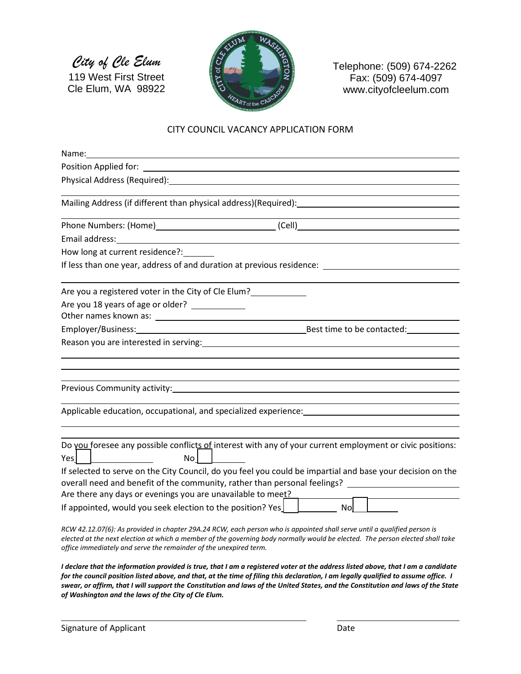*City of Cle Elum* 119 West First Street

Cle Elum, WA 98922



Telephone: (509) 674-2262 Fax: (509) 674-4097 www.cityofcleelum.com

#### CITY COUNCIL VACANCY APPLICATION FORM

| How long at current residence?: _______                           |                                                                                                                                                                                                                                                           |
|-------------------------------------------------------------------|-----------------------------------------------------------------------------------------------------------------------------------------------------------------------------------------------------------------------------------------------------------|
|                                                                   | If less than one year, address of and duration at previous residence: ______________________________                                                                                                                                                      |
| Are you a registered voter in the City of Cle Elum?               |                                                                                                                                                                                                                                                           |
| Are you 18 years of age or older? ____________                    |                                                                                                                                                                                                                                                           |
|                                                                   |                                                                                                                                                                                                                                                           |
|                                                                   |                                                                                                                                                                                                                                                           |
|                                                                   | Reason you are interested in serving: Notified that the service of the service of the service of the service o                                                                                                                                            |
|                                                                   |                                                                                                                                                                                                                                                           |
|                                                                   |                                                                                                                                                                                                                                                           |
|                                                                   |                                                                                                                                                                                                                                                           |
|                                                                   |                                                                                                                                                                                                                                                           |
|                                                                   | Applicable education, occupational, and specialized experience: entries and annual control of the control of the control of the control of the control of the control of the control of the control of the control of the cont                            |
|                                                                   |                                                                                                                                                                                                                                                           |
|                                                                   |                                                                                                                                                                                                                                                           |
| $Yes]$ $\Box$<br>No <sub>l</sub>                                  | Do you foresee any possible conflicts of interest with any of your current employment or civic positions:                                                                                                                                                 |
|                                                                   |                                                                                                                                                                                                                                                           |
|                                                                   | If selected to serve on the City Council, do you feel you could be impartial and base your decision on the<br>overall need and benefit of the community, rather than personal feelings? _________________________                                         |
| Are there any days or evenings you are unavailable to meet?       |                                                                                                                                                                                                                                                           |
| If appointed, would you seek election to the position? Yes $\Box$ | Nol                                                                                                                                                                                                                                                       |
|                                                                   |                                                                                                                                                                                                                                                           |
|                                                                   | RCW 42.12.07(6): As provided in chapter 29A.24 RCW, each person who is appointed shall serve until a qualified person is<br>elected at the next election at which a member of the governing body normally would be elected. The person elected shall take |
| office immediately and serve the remainder of the unexpired term. |                                                                                                                                                                                                                                                           |

*I declare that the information provided is true, that I am a registered voter at the address listed above, that I am a candidate for the council position listed above, and that, at the time of filing this declaration, I am legally qualified to assume office. I swear, or affirm, that I will support the Constitution and laws of the United States, and the Constitution and laws of the State of Washington and the laws of the City of Cle Elum.*

i<br>L